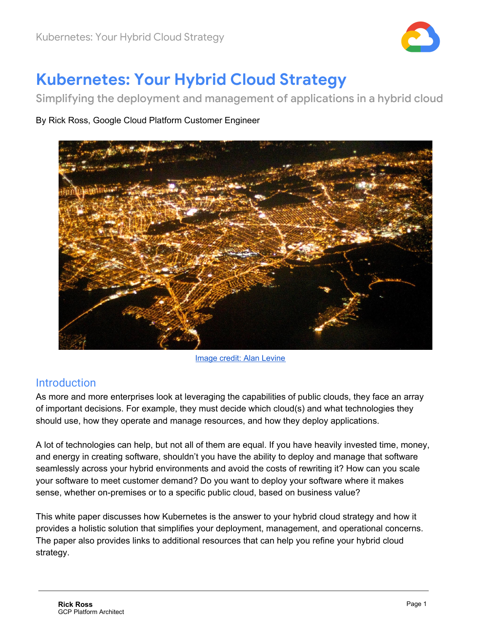

# **Kubernetes: Your Hybrid Cloud Strategy**

Simplifying the deployment and management of applications in a hybrid cloud

By Rick Ross, Google Cloud Platform Customer Engineer



Image credit: Alan [Levine](https://www.flickr.com/photos/cogdog/4972664239/in/photostream/)

# Introduction

As more and more enterprises look at leveraging the capabilities of public clouds, they face an array of important decisions. For example, they must decide which cloud(s) and what technologies they should use, how they operate and manage resources, and how they deploy applications.

A lot of technologies can help, but not all of them are equal. If you have heavily invested time, money, and energy in creating software, shouldn't you have the ability to deploy and manage that software seamlessly across your hybrid environments and avoid the costs of rewriting it? How can you scale your software to meet customer demand? Do you want to deploy your software where it makes sense, whether on-premises or to a specific public cloud, based on business value?

This white paper discusses how Kubernetes is the answer to your hybrid cloud strategy and how it provides a holistic solution that simplifies your deployment, management, and operational concerns. The paper also provides links to additional resources that can help you refine your hybrid cloud strategy.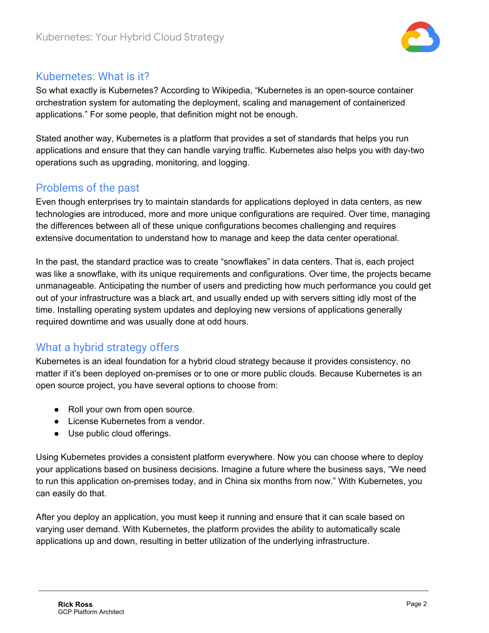

### Kubernetes: What is it?

So what exactly is Kubernetes? According to Wikipedia, "Kubernetes is an open-source container orchestration system for automating the deployment, scaling and management of containerized applications." For some people, that definition might not be enough.

Stated another way, Kubernetes is a platform that provides a set of standards that helps you run applications and ensure that they can handle varying traffic. Kubernetes also helps you with day-two operations such as upgrading, monitoring, and logging.

# Problems of the past

Even though enterprises try to maintain standards for applications deployed in data centers, as new technologies are introduced, more and more unique configurations are required. Over time, managing the differences between all of these unique configurations becomes challenging and requires extensive documentation to understand how to manage and keep the data center operational.

In the past, the standard practice was to create "snowflakes" in data centers. That is, each project was like a snowflake, with its unique requirements and configurations. Over time, the projects became unmanageable. Anticipating the number of users and predicting how much performance you could get out of your infrastructure was a black art, and usually ended up with servers sitting idly most of the time. Installing operating system updates and deploying new versions of applications generally required downtime and was usually done at odd hours.

# What a hybrid strategy offers

Kubernetes is an ideal foundation for a hybrid cloud strategy because it provides consistency, no matter if it's been deployed on-premises or to one or more public clouds. Because Kubernetes is an open source project, you have several options to choose from:

- Roll your own from open source.
- License Kubernetes from a vendor.
- Use public cloud offerings.

Using Kubernetes provides a consistent platform everywhere. Now you can choose where to deploy your applications based on business decisions. Imagine a future where the business says, "We need to run this application on-premises today, and in China six months from now." With Kubernetes, you can easily do that.

After you deploy an application, you must keep it running and ensure that it can scale based on varying user demand. With Kubernetes, the platform provides the ability to automatically scale applications up and down, resulting in better utilization of the underlying infrastructure.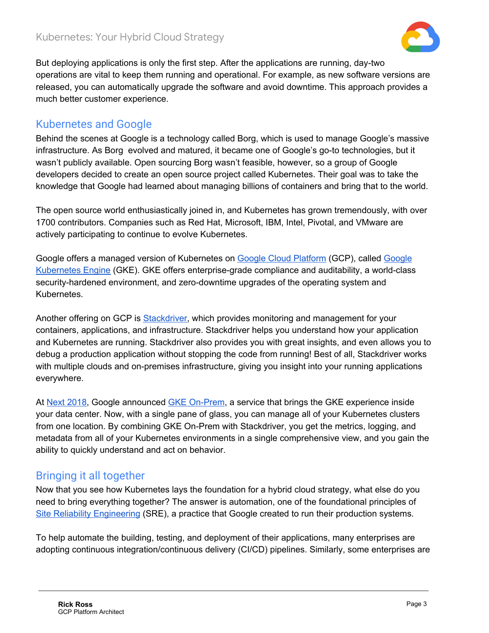

But deploying applications is only the first step. After the applications are running, day-two operations are vital to keep them running and operational. For example, as new software versions are released, you can automatically upgrade the software and avoid downtime. This approach provides a much better customer experience.

#### Kubernetes and Google

Behind the scenes at Google is a technology called Borg, which is used to manage Google's massive infrastructure. As Borg evolved and matured, it became one of Google's go-to technologies, but it wasn't publicly available. Open sourcing Borg wasn't feasible, however, so a group of Google developers decided to create an open source project called Kubernetes. Their goal was to take the knowledge that Google had learned about managing billions of containers and bring that to the world.

The open source world enthusiastically joined in, and Kubernetes has grown tremendously, with over 1700 contributors. Companies such as Red Hat, Microsoft, IBM, Intel, Pivotal, and VMware are actively participating to continue to evolve Kubernetes.

Google offers a managed version of Kubernetes on Google Cloud [Platform](https://cloud.google.com/kubernetes-engine/) (GCP), called [Google](https://cloud.google.com/kubernetes-engine/) [Kubernetes](https://cloud.google.com/kubernetes-engine/) Engine (GKE). GKE offers enterprise-grade compliance and auditability, a world-class security-hardened environment, and zero-downtime upgrades of the operating system and Kubernetes.

Another offering on GCP is [Stackdriver,](https://cloud.google.com/stackdriver/) which provides monitoring and management for your containers, applications, and infrastructure. Stackdriver helps you understand how your application and Kubernetes are running. Stackdriver also provides you with great insights, and even allows you to debug a production application without stopping the code from running! Best of all, Stackdriver works with multiple clouds and on-premises infrastructure, giving you insight into your running applications everywhere.

At Next [2018,](https://cloud.withgoogle.com/next18/sf/) Google announced GKE [On-Prem](https://cloud.google.com/gke-on-prem/), a service that brings the GKE experience inside your data center. Now, with a single pane of glass, you can manage all of your Kubernetes clusters from one location. By combining GKE On-Prem with Stackdriver, you get the metrics, logging, and metadata from all of your Kubernetes environments in a single comprehensive view, and you gain the ability to quickly understand and act on behavior.

#### Bringing it all together

Now that you see how Kubernetes lays the foundation for a hybrid cloud strategy, what else do you need to bring everything together? The answer is automation, one of the foundational principles of Site Reliability [Engineering](https://landing.google.com/sre/) (SRE), a practice that Google created to run their production systems.

To help automate the building, testing, and deployment of their applications, many enterprises are adopting continuous integration/continuous delivery (CI/CD) pipelines. Similarly, some enterprises are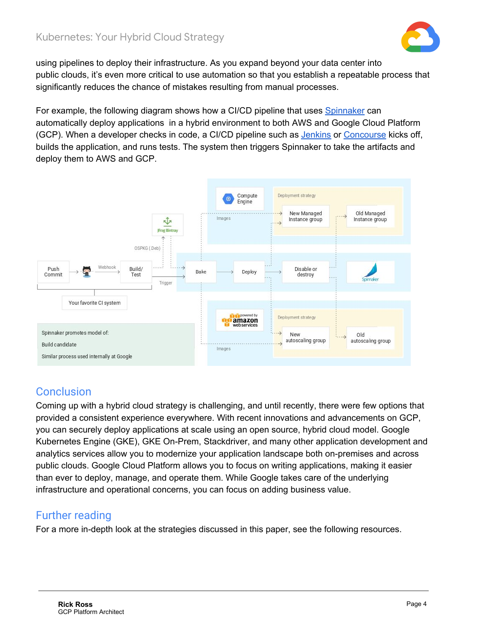

using pipelines to deploy their infrastructure. As you expand beyond your data center into public clouds, it's even more critical to use automation so that you establish a repeatable process that significantly reduces the chance of mistakes resulting from manual processes.

For example, the following diagram shows how a CI/CD pipeline that uses [Spinnaker](https://www.spinnaker.io/) can automatically deploy applications in a hybrid environment to both AWS and Google Cloud Platform (GCP). When a developer checks in code, a CI/CD pipeline such as [Jenkins](https://jenkins.io/) or [Concourse](https://concourse-ci.org/) kicks off, builds the application, and runs tests. The system then triggers Spinnaker to take the artifacts and deploy them to AWS and GCP.



# **Conclusion**

Coming up with a hybrid cloud strategy is challenging, and until recently, there were few options that provided a consistent experience everywhere. With recent innovations and advancements on GCP, you can securely deploy applications at scale using an open source, hybrid cloud model. Google Kubernetes Engine (GKE), GKE On-Prem, Stackdriver, and many other application development and analytics services allow you to modernize your application landscape both on-premises and across public clouds. Google Cloud Platform allows you to focus on writing applications, making it easier than ever to deploy, manage, and operate them. While Google takes care of the underlying infrastructure and operational concerns, you can focus on adding business value.

# Further reading

For a more in-depth look at the strategies discussed in this paper, see the following resources.